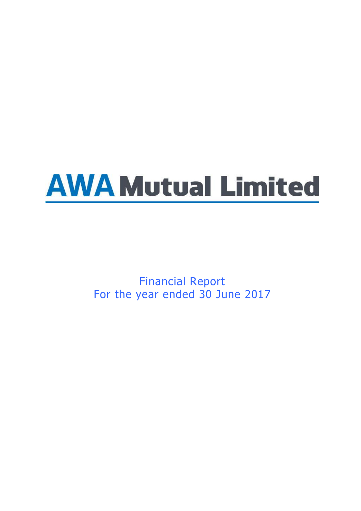# **AWA Mutual Limited**

Financial Report For the year ended 30 June 2017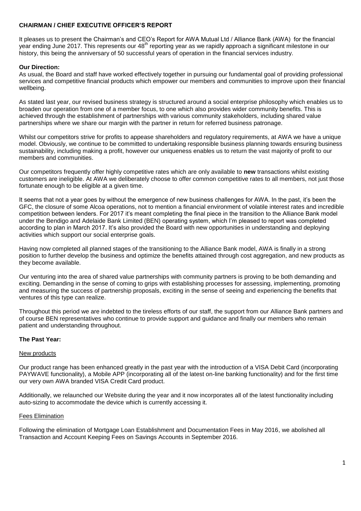# **CHAIRMAN / CHIEF EXECUTIVE OFFICER'S REPORT**

It pleases us to present the Chairman's and CEO's Report for AWA Mutual Ltd / Alliance Bank (AWA) for the financial year ending June 2017. This represents our 48<sup>th</sup> reporting year as we rapidly approach a significant milestone in our history, this being the anniversary of 50 successful years of operation in the financial services industry.

# **Our Direction:**

As usual, the Board and staff have worked effectively together in pursuing our fundamental goal of providing professional services and competitive financial products which empower our members and communities to improve upon their financial wellbeing.

As stated last year, our revised business strategy is structured around a social enterprise philosophy which enables us to broaden our operation from one of a member focus, to one which also provides wider community benefits. This is achieved through the establishment of partnerships with various community stakeholders, including shared value partnerships where we share our margin with the partner in return for referred business patronage.

Whilst our competitors strive for profits to appease shareholders and regulatory requirements, at AWA we have a unique model. Obviously, we continue to be committed to undertaking responsible business planning towards ensuring business sustainability, including making a profit, however our uniqueness enables us to return the vast majority of profit to our members and communities.

Our competitors frequently offer highly competitive rates which are only available to **new** transactions whilst existing customers are ineligible. At AWA we deliberately choose to offer common competitive rates to all members, not just those fortunate enough to be eligible at a given time.

It seems that not a year goes by without the emergence of new business challenges for AWA. In the past, it's been the GFC, the closure of some Alcoa operations, not to mention a financial environment of volatile interest rates and incredible competition between lenders. For 2017 it's meant completing the final piece in the transition to the Alliance Bank model under the Bendigo and Adelaide Bank Limited (BEN) operating system, which I'm pleased to report was completed according to plan in March 2017. It's also provided the Board with new opportunities in understanding and deploying activities which support our social enterprise goals.

Having now completed all planned stages of the transitioning to the Alliance Bank model, AWA is finally in a strong position to further develop the business and optimize the benefits attained through cost aggregation, and new products as they become available.

Our venturing into the area of shared value partnerships with community partners is proving to be both demanding and exciting. Demanding in the sense of coming to grips with establishing processes for assessing, implementing, promoting and measuring the success of partnership proposals, exciting in the sense of seeing and experiencing the benefits that ventures of this type can realize.

Throughout this period we are indebted to the tireless efforts of our staff, the support from our Alliance Bank partners and of course BEN representatives who continue to provide support and guidance and finally our members who remain patient and understanding throughout.

# **The Past Year:**

# New products

Our product range has been enhanced greatly in the past year with the introduction of a VISA Debit Card (incorporating PAYWAVE functionality), a Mobile APP (incorporating all of the latest on-line banking functionality) and for the first time our very own AWA branded VISA Credit Card product.

Additionally, we relaunched our Website during the year and it now incorporates all of the latest functionality including auto-sizing to accommodate the device which is currently accessing it.

# Fees Elimination

Following the elimination of Mortgage Loan Establishment and Documentation Fees in May 2016, we abolished all Transaction and Account Keeping Fees on Savings Accounts in September 2016.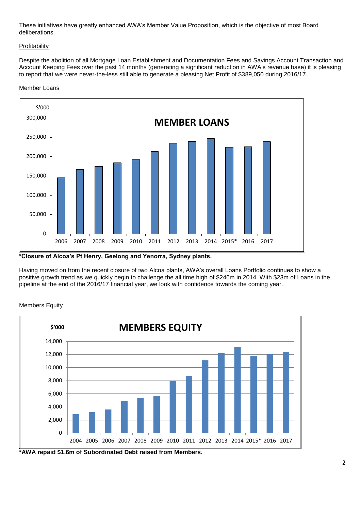These initiatives have greatly enhanced AWA's Member Value Proposition, which is the objective of most Board deliberations.

# **Profitability**

Despite the abolition of all Mortgage Loan Establishment and Documentation Fees and Savings Account Transaction and Account Keeping Fees over the past 14 months (generating a significant reduction in AWA's revenue base) it is pleasing to report that we were never-the-less still able to generate a pleasing Net Profit of \$389,050 during 2016/17.



### Member Loans

**\*Closure of Alcoa's Pt Henry, Geelong and Yenorra, Sydney plants.**

Having moved on from the recent closure of two Alcoa plants, AWA's overall Loans Portfolio continues to show a positive growth trend as we quickly begin to challenge the all time high of \$246m in 2014. With \$23m of Loans in the pipeline at the end of the 2016/17 financial year, we look with confidence towards the coming year.

# Members Equity



**\*AWA repaid \$1.6m of Subordinated Debt raised from Members.**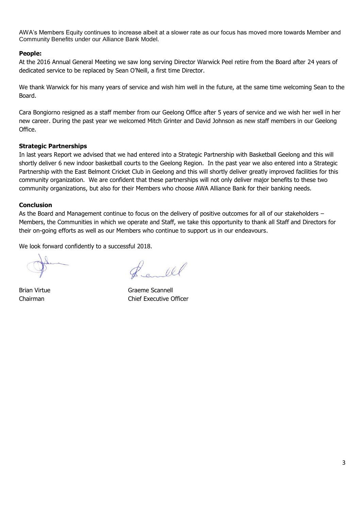AWA's Members Equity continues to increase albeit at a slower rate as our focus has moved more towards Member and Community Benefits under our Alliance Bank Model.

# **People:**

At the 2016 Annual General Meeting we saw long serving Director Warwick Peel retire from the Board after 24 years of dedicated service to be replaced by Sean O'Neill, a first time Director.

We thank Warwick for his many years of service and wish him well in the future, at the same time welcoming Sean to the Board.

Cara Bongiorno resigned as a staff member from our Geelong Office after 5 years of service and we wish her well in her new career. During the past year we welcomed Mitch Grinter and David Johnson as new staff members in our Geelong Office.

## **Strategic Partnerships**

In last years Report we advised that we had entered into a Strategic Partnership with Basketball Geelong and this will shortly deliver 6 new indoor basketball courts to the Geelong Region. In the past year we also entered into a Strategic Partnership with the East Belmont Cricket Club in Geelong and this will shortly deliver greatly improved facilities for this community organization. We are confident that these partnerships will not only deliver major benefits to these two community organizations, but also for their Members who choose AWA Alliance Bank for their banking needs.

## **Conclusion**

As the Board and Management continue to focus on the delivery of positive outcomes for all of our stakeholders – Members, the Communities in which we operate and Staff, we take this opportunity to thank all Staff and Directors for their on-going efforts as well as our Members who continue to support us in our endeavours.

We look forward confidently to a successful 2018.

 $d_{\rm co}$  we

Brian Virtue **Graeme Scannell** Chairman Chief Executive Officer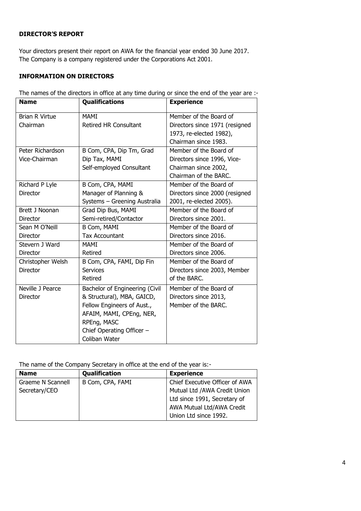# **DIRECTOR'S REPORT**

Your directors present their report on AWA for the financial year ended 30 June 2017. The Company is a company registered under the Corporations Act 2001.

# **INFORMATION ON DIRECTORS**

|  | The names of the directors in office at any time during or since the end of the year are :- |  |
|--|---------------------------------------------------------------------------------------------|--|

| <b>Name</b>           | <b>Qualifications</b>          | <b>Experience</b>              |
|-----------------------|--------------------------------|--------------------------------|
| <b>Brian R Virtue</b> | <b>MAMI</b>                    | Member of the Board of         |
| Chairman              | <b>Retired HR Consultant</b>   | Directors since 1971 (resigned |
|                       |                                | 1973, re-elected 1982),        |
|                       |                                | Chairman since 1983.           |
| Peter Richardson      | B Com, CPA, Dip Tm, Grad       | Member of the Board of         |
| Vice-Chairman         | Dip Tax, MAMI                  | Directors since 1996, Vice-    |
|                       | Self-employed Consultant       | Chairman since 2002,           |
|                       |                                | Chairman of the BARC.          |
| Richard P Lyle        | B Com, CPA, MAMI               | Member of the Board of         |
| <b>Director</b>       | Manager of Planning &          | Directors since 2000 (resigned |
|                       | Systems - Greening Australia   | 2001, re-elected 2005).        |
| Brett J Noonan        | Grad Dip Bus, MAMI             | Member of the Board of         |
| <b>Director</b>       | Semi-retired/Contactor         | Directors since 2001.          |
| Sean M O'Neill        | B Com, MAMI                    | Member of the Board of         |
| <b>Director</b>       | <b>Tax Accountant</b>          | Directors since 2016.          |
| Stevern J Ward        | <b>MAMI</b>                    | Member of the Board of         |
| <b>Director</b>       | Retired                        | Directors since 2006.          |
| Christopher Welsh     | B Com, CPA, FAMI, Dip Fin      | Member of the Board of         |
| <b>Director</b>       | <b>Services</b>                | Directors since 2003, Member   |
|                       | Retired                        | of the BARC.                   |
| Neville J Pearce      | Bachelor of Engineering (Civil | Member of the Board of         |
| Director              | & Structural), MBA, GAICD,     | Directors since 2013,          |
|                       | Fellow Engineers of Aust.,     | Member of the BARC.            |
|                       | AFAIM, MAMI, CPEng, NER,       |                                |
|                       | RPEng, MASC                    |                                |
|                       | Chief Operating Officer -      |                                |
|                       | Coliban Water                  |                                |

The name of the Company Secretary in office at the end of the year is:-

| <b>Name</b>       | Qualification    | <b>Experience</b>              |  |
|-------------------|------------------|--------------------------------|--|
| Graeme N Scannell | B Com, CPA, FAMI | Chief Executive Officer of AWA |  |
| Secretary/CEO     |                  | Mutual Ltd /AWA Credit Union   |  |
|                   |                  | Ltd since 1991, Secretary of   |  |
|                   |                  | AWA Mutual Ltd/AWA Credit      |  |
|                   |                  | Union Ltd since 1992.          |  |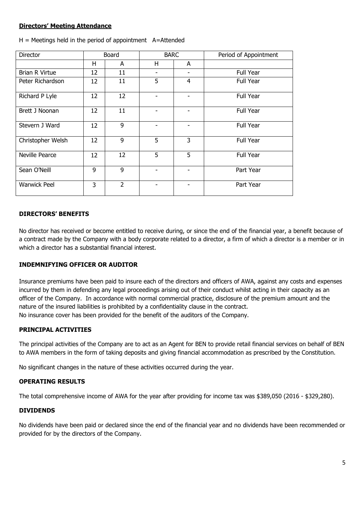# **Directors' Meeting Attendance**

| Director              | <b>Board</b> |                | <b>BARC</b> |                | Period of Appointment |
|-----------------------|--------------|----------------|-------------|----------------|-----------------------|
|                       | н            | A              | н           | A              |                       |
| <b>Brian R Virtue</b> | 12           | 11             |             |                | Full Year             |
| Peter Richardson      | 12           | 11             | 5           | $\overline{4}$ | Full Year             |
| Richard P Lyle        | 12           | 12             |             |                | Full Year             |
| Brett J Noonan        | 12           | 11             |             |                | Full Year             |
| Stevern J Ward        | 12           | 9              |             |                | Full Year             |
| Christopher Welsh     | 12           | 9              | 5           | 3              | Full Year             |
| Neville Pearce        | 12           | 12             | 5           | 5              | <b>Full Year</b>      |
| Sean O'Neill          | 9            | 9              |             |                | Part Year             |
| <b>Warwick Peel</b>   | 3            | $\overline{2}$ |             |                | Part Year             |

 $H =$  Meetings held in the period of appointment  $A=$ Attended

# **DIRECTORS' BENEFITS**

No director has received or become entitled to receive during, or since the end of the financial year, a benefit because of a contract made by the Company with a body corporate related to a director, a firm of which a director is a member or in which a director has a substantial financial interest.

# **INDEMNIFYING OFFICER OR AUDITOR**

Insurance premiums have been paid to insure each of the directors and officers of AWA, against any costs and expenses incurred by them in defending any legal proceedings arising out of their conduct whilst acting in their capacity as an officer of the Company. In accordance with normal commercial practice, disclosure of the premium amount and the nature of the insured liabilities is prohibited by a confidentiality clause in the contract. No insurance cover has been provided for the benefit of the auditors of the Company.

# **PRINCIPAL ACTIVITIES**

The principal activities of the Company are to act as an Agent for BEN to provide retail financial services on behalf of BEN to AWA members in the form of taking deposits and giving financial accommodation as prescribed by the Constitution.

No significant changes in the nature of these activities occurred during the year.

# **OPERATING RESULTS**

The total comprehensive income of AWA for the year after providing for income tax was \$389,050 (2016 - \$329,280).

# **DIVIDENDS**

No dividends have been paid or declared since the end of the financial year and no dividends have been recommended or provided for by the directors of the Company.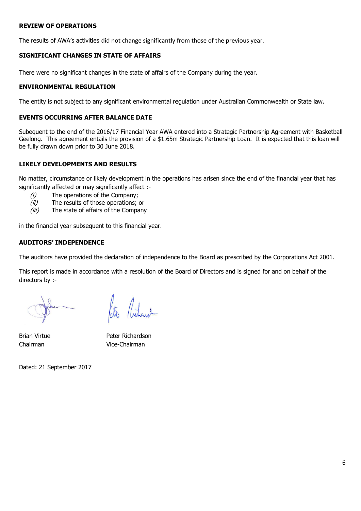# **REVIEW OF OPERATIONS**

The results of AWA's activities did not change significantly from those of the previous year.

# **SIGNIFICANT CHANGES IN STATE OF AFFAIRS**

There were no significant changes in the state of affairs of the Company during the year.

# **ENVIRONMENTAL REGULATION**

The entity is not subject to any significant environmental regulation under Australian Commonwealth or State law.

# **EVENTS OCCURRING AFTER BALANCE DATE**

Subequent to the end of the 2016/17 Financial Year AWA entered into a Strategic Partnership Agreement with Basketball Geelong. This agreement entails the provision of a \$1.65m Strategic Partnership Loan. It is expected that this loan will be fully drawn down prior to 30 June 2018.

# **LIKELY DEVELOPMENTS AND RESULTS**

No matter, circumstance or likely development in the operations has arisen since the end of the financial year that has significantly affected or may significantly affect :-

- (i) The operations of the Company;
- (ii) The results of those operations; or
- (iii) The state of affairs of the Company

in the financial year subsequent to this financial year.

# **AUDITORS' INDEPENDENCE**

The auditors have provided the declaration of independence to the Board as prescribed by the Corporations Act 2001.

This report is made in accordance with a resolution of the Board of Directors and is signed for and on behalf of the directors by :-

Brian Virtue **Peter Richardson** Chairman Vice-Chairman

Dated: 21 September 2017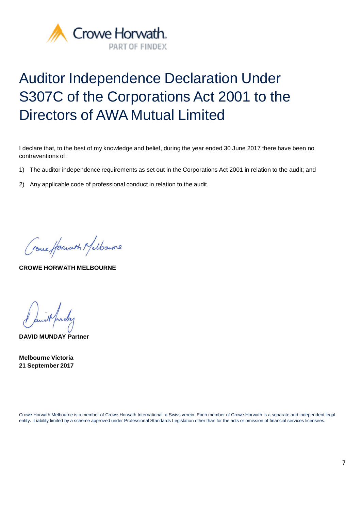

# Auditor Independence Declaration Under S307C of the Corporations Act 2001 to the Directors of AWA Mutual Limited

I declare that, to the best of my knowledge and belief, during the year ended 30 June 2017 there have been no contraventions of:

- 1) The auditor independence requirements as set out in the Corporations Act 2001 in relation to the audit; and
- 2) Any applicable code of professional conduct in relation to the audit.

Creme forwart Melbourne

**CROWE HORWATH MELBOURNE**

duit fundas

**DAVID MUNDAY Partner**

**Melbourne Victoria 21 September 2017**

Crowe Horwath Melbourne is a member of Crowe Horwath International, a Swiss verein. Each member of Crowe Horwath is a separate and independent legal entity. Liability limited by a scheme approved under Professional Standards Legislation other than for the acts or omission of financial services licensees.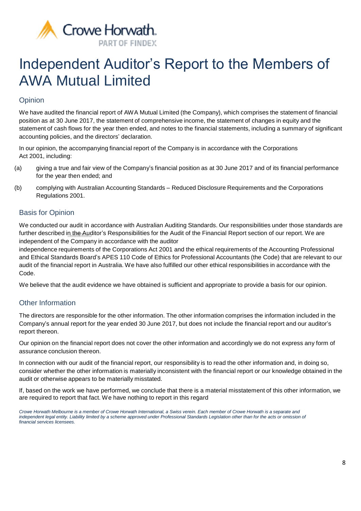

# Independent Auditor's Report to the Members of AWA Mutual Limited

# **Opinion**

We have audited the financial report of AWA Mutual Limited (the Company), which comprises the statement of financial position as at 30 June 2017, the statement of comprehensive income, the statement of changes in equity and the statement of cash flows for the year then ended, and notes to the financial statements, including a summary of significant accounting policies, and the directors' declaration.

In our opinion, the accompanying financial report of the Company is in accordance with the Corporations Act 2001, including:

- (a) giving a true and fair view of the Company's financial position as at 30 June 2017 and of its financial performance for the year then ended; and
- (b) complying with Australian Accounting Standards Reduced Disclosure Requirements and the Corporations Regulations 2001.

# Basis for Opinion

We conducted our audit in accordance with Australian Auditing Standards. Our responsibilities under those standards are further described in the Auditor's Responsibilities for the Audit of the Financial Report section of our report. We are independent of the Company in accordance with the auditor

independence requirements of the Corporations Act 2001 and the ethical requirements of the Accounting Professional and Ethical Standards Board's APES 110 Code of Ethics for Professional Accountants (the Code) that are relevant to our audit of the financial report in Australia. We have also fulfilled our other ethical responsibilities in accordance with the Code.

We believe that the audit evidence we have obtained is sufficient and appropriate to provide a basis for our opinion.

# Other Information

The directors are responsible for the other information. The other information comprises the information included in the Company's annual report for the year ended 30 June 2017, but does not include the financial report and our auditor's report thereon.

Our opinion on the financial report does not cover the other information and accordingly we do not express any form of assurance conclusion thereon.

In connection with our audit of the financial report, our responsibility is to read the other information and, in doing so, consider whether the other information is materially inconsistent with the financial report or our knowledge obtained in the audit or otherwise appears to be materially misstated.

If, based on the work we have performed, we conclude that there is a material misstatement of this other information, we are required to report that fact. We have nothing to report in this regard

*Crowe Horwath Melbourne is a member of Crowe Horwath International, a Swiss verein. Each member of Crowe Horwath is a separate and independent legal entity. Liability limited by a scheme approved under Professional Standards Legislation other than for the acts or omission of financial services licensees.*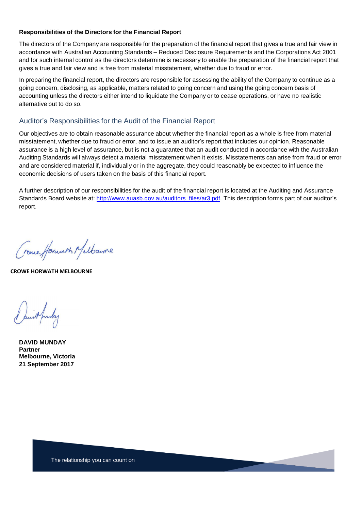# **Responsibilities of the Directors for the Financial Report**

The directors of the Company are responsible for the preparation of the financial report that gives a true and fair view in accordance with Australian Accounting Standards – Reduced Disclosure Requirements and the Corporations Act 2001 and for such internal control as the directors determine is necessary to enable the preparation of the financial report that gives a true and fair view and is free from material misstatement, whether due to fraud or error.

In preparing the financial report, the directors are responsible for assessing the ability of the Company to continue as a going concern, disclosing, as applicable, matters related to going concern and using the going concern basis of accounting unless the directors either intend to liquidate the Company or to cease operations, or have no realistic alternative but to do so.

# Auditor's Responsibilities for the Audit of the Financial Report

Our objectives are to obtain reasonable assurance about whether the financial report as a whole is free from material misstatement, whether due to fraud or error, and to issue an auditor's report that includes our opinion. Reasonable assurance is a high level of assurance, but is not a guarantee that an audit conducted in accordance with the Australian Auditing Standards will always detect a material misstatement when it exists. Misstatements can arise from fraud or error and are considered material if, individually or in the aggregate, they could reasonably be expected to influence the economic decisions of users taken on the basis of this financial report.

A further description of our responsibilities for the audit of the financial report is located at the Auditing and Assurance Standards Board website at: [http://www.auasb.gov.au/auditors\\_files/ar3.pdf.](http://www.auasb.gov.au/auditors_files/ar3.pdf) This description forms part of our auditor's report.

Creme forwart Melbourne

**CROWE HORWATH MELBOURNE**

Janiet fondag

**DAVID MUNDAY Partner Melbourne, Victoria 21 September 2017**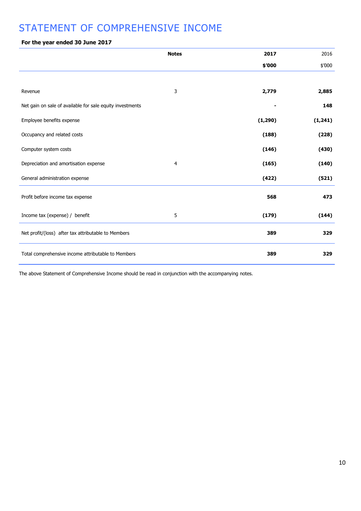# STATEMENT OF COMPREHENSIVE INCOME

# **For the year ended 30 June 2017**

|                                                           | <b>Notes</b> | 2017     | 2016     |
|-----------------------------------------------------------|--------------|----------|----------|
|                                                           |              | \$'000   | \$'000   |
|                                                           |              |          |          |
| Revenue                                                   | 3            | 2,779    | 2,885    |
| Net gain on sale of available for sale equity investments |              |          | 148      |
| Employee benefits expense                                 |              | (1, 290) | (1, 241) |
| Occupancy and related costs                               |              | (188)    | (228)    |
| Computer system costs                                     |              | (146)    | (430)    |
| Depreciation and amortisation expense                     | 4            | (165)    | (140)    |
| General administration expense                            |              | (422)    | (521)    |
| Profit before income tax expense                          |              | 568      | 473      |
| Income tax (expense) / benefit                            | 5            | (179)    | (144)    |
| Net profit/(loss) after tax attributable to Members       |              | 389      | 329      |
| Total comprehensive income attributable to Members        |              | 389      | 329      |

The above Statement of Comprehensive Income should be read in conjunction with the accompanying notes.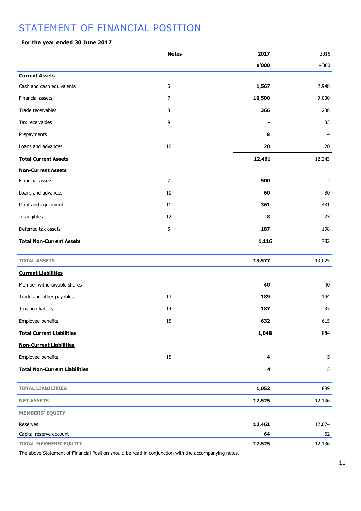# STATEMENT OF FINANCIAL POSITION

# **For the year ended 30 June 2017**

|                                      | <b>Notes</b>   | 2017   | 2016           |
|--------------------------------------|----------------|--------|----------------|
|                                      |                | \$′000 | \$'000         |
| <b>Current Assets</b>                |                |        |                |
| Cash and cash equivalents            | 6              | 1,567  | 2,948          |
| Financial assets                     | $\overline{7}$ | 10,500 | 9,000          |
| Trade receivables                    | 8              | 366    | 238            |
| Tax receivables                      | 9              |        | 33             |
| Prepayments                          |                | 8      | $\overline{4}$ |
| Loans and advances                   | $10\,$         | 20     | 20             |
| <b>Total Current Assets</b>          |                | 12,461 | 12,243         |
| <b>Non-Current Assets</b>            |                |        |                |
| Financial assets                     | 7              | 500    |                |
| Loans and advances                   | $10\,$         | 60     | 80             |
| Plant and equipment                  | $11\,$         | 361    | 481            |
| Intangibles                          | 12             | 8      | 23             |
| Deferred tax assets                  | 5              | 187    | 198            |
| <b>Total Non-Current Assets</b>      |                | 1,116  | 782            |
| <b>TOTAL ASSETS</b>                  |                | 13,577 | 13,025         |
| <b>Current Liabilities</b>           |                |        |                |
| Member withdrawable shares           |                | 40     | 40             |
| Trade and other payables             | 13             | 189    | 194            |
| <b>Taxation liability</b>            | 14             | 187    | 35             |
| Employee benefits                    | 15             | 632    | 615            |
| <b>Total Current Liabilities</b>     |                | 1,048  | 884            |
| <b>Non-Current Liabilities</b>       |                |        |                |
| Employee benefits                    | 15             | 4      | 5              |
| <b>Total Non-Current Liabilities</b> |                | 4      | 5              |
| <b>TOTAL LIABILITIES</b>             |                | 1,052  | 889            |
| <b>NET ASSETS</b>                    |                | 12,525 | 12,136         |
| <b>MEMBERS' EQUITY</b>               |                |        |                |
| Reserves                             |                | 12,461 | 12,074         |
| Capital reserve account              |                | 64     | 62             |
| <b>TOTAL MEMBERS' EQUITY</b>         |                | 12,525 | 12,136         |

The above Statement of Financial Position should be read in conjunction with the accompanying notes.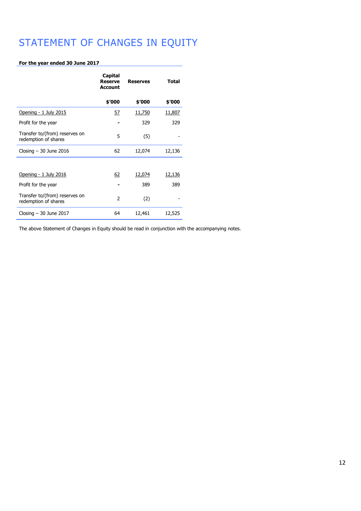# STATEMENT OF CHANGES IN EQUITY

# **For the year ended 30 June 2017**

|                                                        | <b>Capital</b><br><b>Reserve</b><br><b>Account</b> | <b>Reserves</b> | Total  |
|--------------------------------------------------------|----------------------------------------------------|-----------------|--------|
|                                                        | \$'000                                             | \$'000          | \$'000 |
| Opening - 1 July 2015                                  | 57                                                 | 11,750          | 11,807 |
| Profit for the year                                    |                                                    | 329             | 329    |
| Transfer to/(from) reserves on<br>redemption of shares | 5                                                  | (5)             |        |
| Closing $-30$ June 2016                                | 62                                                 | 12,074          | 12,136 |
|                                                        |                                                    |                 |        |
| Opening - 1 July 2016                                  | 62                                                 | 12,074          | 12,136 |
| Profit for the year                                    |                                                    | 389             | 389    |
| Transfer to/(from) reserves on<br>redemption of shares | $\overline{\phantom{a}}$                           | (2)             |        |
| Closing $-30$ June 2017                                | 64                                                 | 12,461          | 12,525 |

The above Statement of Changes in Equity should be read in conjunction with the accompanying notes.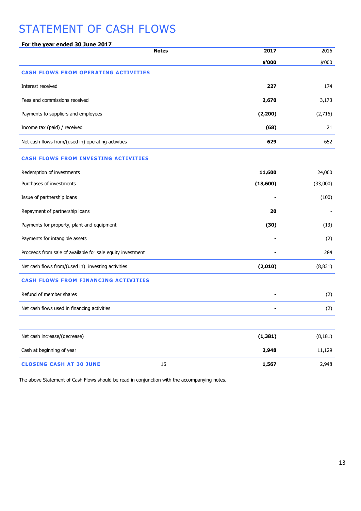# STATEMENT OF CASH FLOWS

| For the year ended 30 June 2017                            |          |          |
|------------------------------------------------------------|----------|----------|
| <b>Notes</b>                                               | 2017     | 2016     |
|                                                            | \$'000   | \$'000   |
| <b>CASH FLOWS FROM OPERATING ACTIVITIES</b>                |          |          |
| Interest received                                          | 227      | 174      |
| Fees and commissions received                              | 2,670    | 3,173    |
| Payments to suppliers and employees                        | (2, 200) | (2,716)  |
| Income tax (paid) / received                               | (68)     | 21       |
| Net cash flows from/(used in) operating activities         | 629      | 652      |
| <b>CASH FLOWS FROM INVESTING ACTIVITIES</b>                |          |          |
| Redemption of investments                                  | 11,600   | 24,000   |
| Purchases of investments                                   | (13,600) | (33,000) |
| Issue of partnership loans                                 |          | (100)    |
| Repayment of partnership loans                             | 20       |          |
| Payments for property, plant and equipment                 | (30)     | (13)     |
| Payments for intangible assets                             |          | (2)      |
| Proceeds from sale of available for sale equity investment |          | 284      |
| Net cash flows from/(used in) investing activities         | (2,010)  | (8,831)  |
| <b>CASH FLOWS FROM FINANCING ACTIVITIES</b>                |          |          |
| Refund of member shares                                    |          | (2)      |
| Net cash flows used in financing activities                |          | (2)      |
|                                                            |          |          |
| Net cash increase/(decrease)                               | (1, 381) | (8, 181) |
| Cash at beginning of year                                  | 2,948    | 11,129   |
| $16\,$<br><b>CLOSING CASH AT 30 JUNE</b>                   | 1,567    | 2,948    |

The above Statement of Cash Flows should be read in conjunction with the accompanying notes.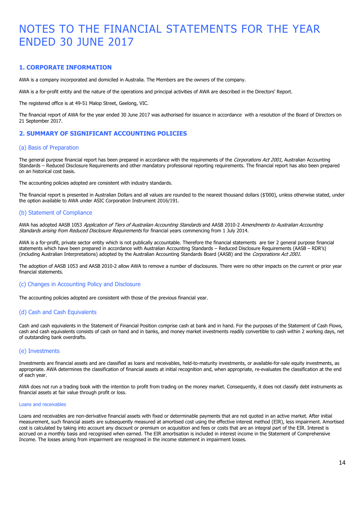### **1. CORPORATE INFORMATION**

AWA is a company incorporated and domiciled in Australia. The Members are the owners of the company.

AWA is a for-profit entity and the nature of the operations and principal activities of AWA are described in the Directors' Report.

The registered office is at 49-51 Malop Street, Geelong, VIC.

The financial report of AWA for the year ended 30 June 2017 was authorised for issuance in accordance with a resolution of the Board of Directors on 21 September 2017.

# **2. SUMMARY OF SIGNIFICANT ACCOUNTING POLICIES**

#### (a) Basis of Preparation

The general purpose financial report has been prepared in accordance with the requirements of the Corporations Act 2001, Australian Accounting Standards – Reduced Disclosure Requirements and other mandatory professional reporting requirements. The financial report has also been prepared on an historical cost basis.

The accounting policies adopted are consistent with industry standards.

The financial report is presented in Australian Dollars and all values are rounded to the nearest thousand dollars (\$'000), unless otherwise stated, under the option available to AWA under ASIC Corporation Instrument 2016/191.

#### (b) Statement of Compliance

AWA has adopted AASB 1053 Application of Tiers of Australian Accounting Standards and AASB 2010-2 Amendments to Australian Accounting Standards arising from Reduced Disclosure Requirements for financial years commencing from 1 July 2014.

AWA is a for-profit, private sector entity which is not publically accountable. Therefore the financial statements are tier 2 general purpose financial statements which have been prepared in accordance with Australian Accounting Standards – Reduced Disclosure Requirements (AASB – RDR's) (including Australian Interpretations) adopted by the Australian Accounting Standards Board (AASB) and the Corporations Act 2001.

The adoption of AASB 1053 and AASB 2010-2 allow AWA to remove a number of disclosures. There were no other impacts on the current or prior year financial statements.

# (c) Changes in Accounting Policy and Disclosure

The accounting policies adopted are consistent with those of the previous financial year.

### (d) Cash and Cash Equivalents

Cash and cash equivalents in the Statement of Financial Position comprise cash at bank and in hand. For the purposes of the Statement of Cash Flows, cash and cash equivalents consists of cash on hand and in banks, and money market investments readily convertible to cash within 2 working days, net of outstanding bank overdrafts.

### (e) Investments

Investments are financial assets and are classified as loans and receivables, held-to-maturity investments, or available-for-sale equity investments, as appropriate. AWA determines the classification of financial assets at initial recognition and, when appropriate, re-evaluates the classification at the end of each year.

AWA does not run a trading book with the intention to profit from trading on the money market. Consequently, it does not classify debt instruments as financial assets at fair value through profit or loss.

#### Loans and receivables

Loans and receivables are non-derivative financial assets with fixed or determinable payments that are not quoted in an active market. After initial measurement, such financial assets are subsequently measured at amortised cost using the effective interest method (EIR), less impairment. Amortised cost is calculated by taking into account any discount or premium on acquisition and fees or costs that are an integral part of the EIR. Interest is accrued on a monthly basis and recognised when earned. The EIR amortisation is included in interest income in the Statement of Comprehensive Income. The losses arising from impairment are recognised in the income statement in impairment losses.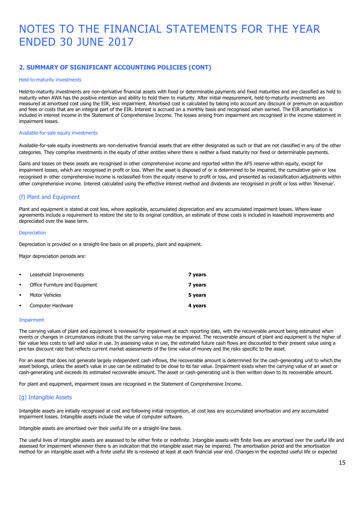# **2. SUMMARY OF SIGNIFICANT ACCOUNTING POLICIES (CONT)**

#### Held-to-maturity investments

Held-to-maturity investments are non-derivative financial assets with fixed or determinable payments and fixed maturities and are classified as held to maturity when AWA has the positive intention and ability to hold them to maturity. After initial measurement, held-to-maturity investments are measured at amortised cost using the EIR, less impairment. Amortised cost is calculated by taking into account any discount or premium on acquisition and fees or costs that are an integral part of the EIR. Interest is accrued on a monthly basis and recognised when earned. The EIR amortisation is included in interest income in the Statement of Comprehensive Income. The losses arising from impairment are recognised in the income statement in impairment losses.

#### Available-for-sale equity investments

Available-for-sale equity investments are non-derivative financial assets that are either designated as such or that are not classified in any of the other categories. They comprise investments in the equity of other entities where there is neither a fixed maturity nor fixed or determinable payments.

Gains and losses on these assets are recognised in other comprehensive income and reported within the AFS reserve within equity, except for impairment losses, which are recognised in profit or loss. When the asset is disposed of or is determined to be impaired, the cumulative gain or loss recognised in other comprehensive income is reclassified from the equity reserve to profit or loss, and presented as reclassification adjustments within other comprehensive income. Interest calculated using the effective interest method and dividends are recognised in profit or loss within 'Revenue'.

## (f) Plant and Equipment

Plant and equipment is stated at cost less, where applicable, accumulated depreciation and any accumulated impairment losses. Where lease agreements include a requirement to restore the site to its original condition, an estimate of those costs is included in leasehold improvements and depreciated over the lease term.

#### **Depreciation**

Depreciation is provided on a straight-line basis on all property, plant and equipment.

Major depreciation periods are:

| $\blacksquare$ | Leasehold Improvements         | 7 years |
|----------------|--------------------------------|---------|
| $\blacksquare$ | Office Furniture and Equipment | 7 years |
| $\blacksquare$ | Motor Vehicles                 | 5 years |
| $\blacksquare$ | Computer Hardware              | 4 years |

#### Impairment

The carrying values of plant and equipment is reviewed for impairment at each reporting date, with the recoverable amount being estimated when events or changes in circumstances indicate that the carrying value may be impaired. The recoverable amount of plant and equipment is the higher of fair value less costs to sell and value in use. In assessing value in use, the estimated future cash flows are discounted to their present value using a pre-tax discount rate that reflects current market assessments of the time value of money and the risks specific to the asset.

For an asset that does not generate largely independent cash inflows, the recoverable amount is determined for the cash-generating unit to which the asset belongs, unless the asset's value in use can be estimated to be close to its fair value. Impairment exists when the carrying value of an asset or cash-generating unit exceeds its estimated recoverable amount. The asset or cash-generating unit is then written down to its recoverable amount.

For plant and equipment, impairment losses are recognised in the Statement of Comprehensive Income.

### (g) Intangible Assets

Intangible assets are initially recognised at cost and following initial recognition, at cost less any accumulated amortisation and any accumulated impairment losses. Intangible assets include the value of computer software.

Intangible assets are amortised over their useful life on a straight-line basis.

The useful lives of intangible assets are assessed to be either finite or indefinite. Intangible assets with finite lives are amortised over the useful life and assessed for impairment whenever there is an indication that the intangible asset may be impaired. The amortisation period and the amortisation method for an intangible asset with a finite useful life is reviewed at least at each financial year end. Changes in the expected useful life or expected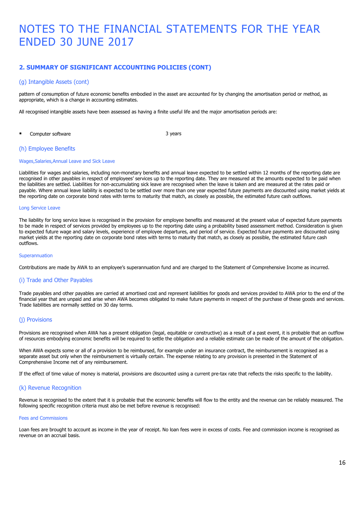# **2. SUMMARY OF SIGNIFICANT ACCOUNTING POLICIES (CONT)**

#### (g) Intangible Assets (cont)

pattern of consumption of future economic benefits embodied in the asset are accounted for by changing the amortisation period or method, as appropriate, which is a change in accounting estimates.

All recognised intangible assets have been assessed as having a finite useful life and the major amortisation periods are:

Computer software 3 years

#### (h) Employee Benefits

#### Wages,Salaries,Annual Leave and Sick Leave

Liabilities for wages and salaries, including non-monetary benefits and annual leave expected to be settled within 12 months of the reporting date are recognised in other payables in respect of employees' services up to the reporting date. They are measured at the amounts expected to be paid when the liabilities are settled. Liabilities for non-accumulating sick leave are recognised when the leave is taken and are measured at the rates paid or payable. Where annual leave liability is expected to be settled over more than one year expected future payments are discounted using market yields at the reporting date on corporate bond rates with terms to maturity that match, as closely as possible, the estimated future cash outflows.

#### Long Service Leave

The liability for long service leave is recognised in the provision for employee benefits and measured at the present value of expected future payments to be made in respect of services provided by employees up to the reporting date using a probability based assessment method. Consideration is given to expected future wage and salary levels, experience of employee departures, and period of service. Expected future payments are discounted using market yields at the reporting date on corporate bond rates with terms to maturity that match, as closely as possible, the estimated future cash outflows.

#### **Superannuation**

Contributions are made by AWA to an employee's superannuation fund and are charged to the Statement of Comprehensive Income as incurred.

#### (i) Trade and Other Payables

Trade payables and other payables are carried at amortised cost and represent liabilities for goods and services provided to AWA prior to the end of the financial year that are unpaid and arise when AWA becomes obligated to make future payments in respect of the purchase of these goods and services. Trade liabilities are normally settled on 30 day terms.

### (j) Provisions

Provisions are recognised when AWA has a present obligation (legal, equitable or constructive) as a result of a past event, it is probable that an outflow of resources embodying economic benefits will be required to settle the obligation and a reliable estimate can be made of the amount of the obligation.

When AWA expects some or all of a provision to be reimbursed, for example under an insurance contract, the reimbursement is recognised as a separate asset but only when the reimbursement is virtually certain. The expense relating to any provision is presented in the Statement of Comprehensive Income net of any reimbursement.

If the effect of time value of money is material, provisions are discounted using a current pre-tax rate that reflects the risks specific to the liability.

#### (k) Revenue Recognition

Revenue is recognised to the extent that it is probable that the economic benefits will flow to the entity and the revenue can be reliably measured. The following specific recognition criteria must also be met before revenue is recognised:

#### Fees and Commissions

Loan fees are brought to account as income in the year of receipt. No loan fees were in excess of costs. Fee and commission income is recognised as revenue on an accrual basis.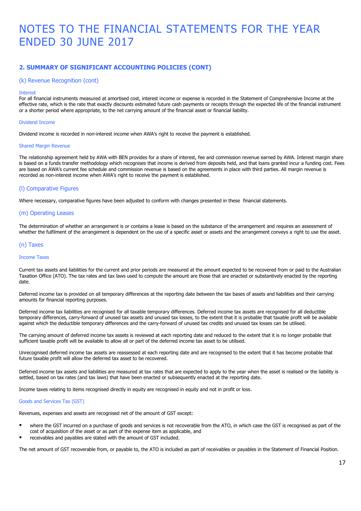# **2. SUMMARY OF SIGNIFICANT ACCOUNTING POLICIES (CONT)**

# (k) Revenue Recognition (cont)

#### **Interest**

For all financial instruments measured at amortised cost, interest income or expense is recorded in the Statement of Comprehensive Income at the effective rate, which is the rate that exactly discounts estimated future cash payments or receipts through the expected life of the financial instrument or a shorter period where appropriate, to the net carrying amount of the financial asset or financial liability.

#### Dividend Income

Dividend income is recorded in non-interest income when AWA's right to receive the payment is established.

#### Shared Margin Revenue

The relationship agreement held by AWA with BEN provides for a share of interest, fee and commission revenue earned by AWA. Interest margin share is based on a funds transfer methodology which recognises that income is derived from deposits held, and that loans granted incur a funding cost. Fees are based on AWA's current fee schedule and commission revenue is based on the agreements in place with third parties. All margin revenue is recorded as non-interest income when AWA's right to receive the payment is established.

### (l) Comparative Figures

Where necessary, comparative figures have been adjusted to conform with changes presented in these financial statements.

#### (m) Operating Leases

The determination of whether an arrangement is or contains a lease is based on the substance of the arrangement and requires an assessment of whether the fulfilment of the arrangement is dependent on the use of a specific asset or assets and the arrangement conveys a right to use the asset.

#### (n) Taxes

#### Income Taxes

Current tax assets and liabilities for the current and prior periods are measured at the amount expected to be recovered from or paid to the Australian Taxation Office (ATO). The tax rates and tax laws used to compute the amount are those that are enacted or substantively enacted by the reporting date.

Deferred income tax is provided on all temporary differences at the reporting date between the tax bases of assets and liabilities and their carrying amounts for financial reporting purposes.

Deferred income tax liabilities are recognised for all taxable temporary differences. Deferred income tax assets are recognised for all deductible temporary differences, carry-forward of unused tax assets and unused tax losses, to the extent that it is probable that taxable profit will be available against which the deductible temporary differences and the carry-forward of unused tax credits and unused tax losses can be utilised.

The carrying amount of deferred income tax assets is reviewed at each reporting date and reduced to the extent that it is no longer probable that sufficient taxable profit will be available to allow all or part of the deferred income tax asset to be utilised.

Unrecognised deferred income tax assets are reassessed at each reporting date and are recognised to the extent that it has become probable that future taxable profit will allow the deferred tax asset to be recovered.

Deferred income tax assets and liabilities are measured at tax rates that are expected to apply to the year when the asset is realised or the liability is settled, based on tax rates (and tax laws) that have been enacted or subsequently enacted at the reporting date.

Income taxes relating to items recognised directly in equity are recognised in equity and not in profit or loss.

#### Goods and Services Tax (GST)

Revenues, expenses and assets are recognised net of the amount of GST except:

- where the GST incurred on a purchase of goods and services is not recoverable from the ATO, in which case the GST is recognised as part of the cost of acquisition of the asset or as part of the expense item as applicable, and
- receivables and payables are stated with the amount of GST included.

The net amount of GST recoverable from, or payable to, the ATO is included as part of receivables or payables in the Statement of Financial Position.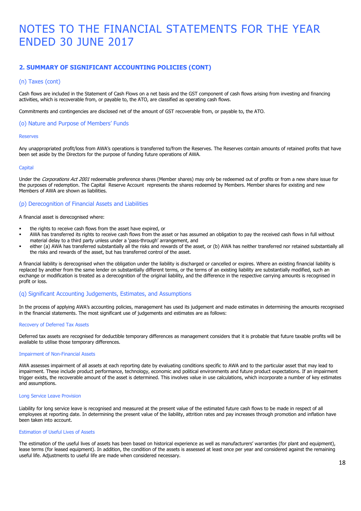# **2. SUMMARY OF SIGNIFICANT ACCOUNTING POLICIES (CONT)**

### (n) Taxes (cont)

Cash flows are included in the Statement of Cash Flows on a net basis and the GST component of cash flows arising from investing and financing activities, which is recoverable from, or payable to, the ATO, are classified as operating cash flows.

Commitments and contingencies are disclosed net of the amount of GST recoverable from, or payable to, the ATO.

#### (o) Nature and Purpose of Members' Funds

#### Reserves

Any unappropriated profit/loss from AWA's operations is transferred to/from the Reserves. The Reserves contain amounts of retained profits that have been set aside by the Directors for the purpose of funding future operations of AWA.

#### **Capital**

Under the Corporations Act 2001 redeemable preference shares (Member shares) may only be redeemed out of profits or from a new share issue for the purposes of redemption. The Capital Reserve Account represents the shares redeemed by Members. Member shares for existing and new Members of AWA are shown as liabilities.

#### (p) Derecognition of Financial Assets and Liabilities

#### A financial asset is derecognised where:

- the rights to receive cash flows from the asset have expired, or
- AWA has transferred its rights to receive cash flows from the asset or has assumed an obligation to pay the received cash flows in full without material delay to a third party unless under a 'pass-through' arrangement, and
- either (a) AWA has transferred substantially all the risks and rewards of the asset, or (b) AWA has neither transferred nor retained substantially all the risks and rewards of the asset, but has transferred control of the asset.

A financial liability is derecognised when the obligation under the liability is discharged or cancelled or expires. Where an existing financial liability is replaced by another from the same lender on substantially different terms, or the terms of an existing liability are substantially modified, such an exchange or modification is treated as a derecognition of the original liability, and the difference in the respective carrying amounts is recognised in profit or loss.

#### (q) Significant Accounting Judgements, Estimates, and Assumptions

In the process of applying AWA's accounting policies, management has used its judgement and made estimates in determining the amounts recognised in the financial statements. The most significant use of judgements and estimates are as follows:

#### Recovery of Deferred Tax Assets

Deferred tax assets are recognised for deductible temporary differences as management considers that it is probable that future taxable profits will be available to utilise those temporary differences.

#### Impairment of Non-Financial Assets

AWA assesses impairment of all assets at each reporting date by evaluating conditions specific to AWA and to the particular asset that may lead to impairment. These include product performance, technology, economic and political environments and future product expectations. If an impairment trigger exists, the recoverable amount of the asset is determined. This involves value in use calculations, which incorporate a number of key estimates and assumptions.

#### Long Service Leave Provision

Liability for long service leave is recognised and measured at the present value of the estimated future cash flows to be made in respect of all employees at reporting date. In determining the present value of the liability, attrition rates and pay increases through promotion and inflation have been taken into account.

#### Estimation of Useful Lives of Assets

The estimation of the useful lives of assets has been based on historical experience as well as manufacturers' warranties (for plant and equipment), lease terms (for leased equipment). In addition, the condition of the assets is assessed at least once per year and considered against the remaining useful life. Adjustments to useful life are made when considered necessary.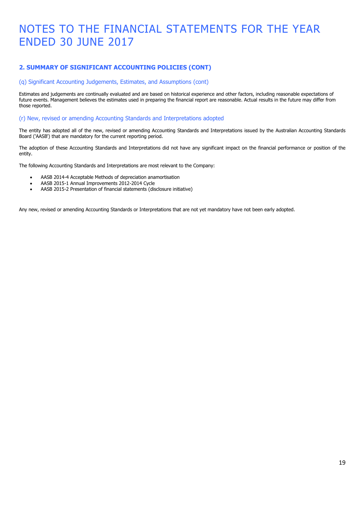# **2. SUMMARY OF SIGNIFICANT ACCOUNTING POLICIES (CONT)**

#### (q) Significant Accounting Judgements, Estimates, and Assumptions (cont)

Estimates and judgements are continually evaluated and are based on historical experience and other factors, including reasonable expectations of future events. Management believes the estimates used in preparing the financial report are reasonable. Actual results in the future may differ from those reported.

#### (r) New, revised or amending Accounting Standards and Interpretations adopted

The entity has adopted all of the new, revised or amending Accounting Standards and Interpretations issued by the Australian Accounting Standards Board ('AASB') that are mandatory for the current reporting period.

The adoption of these Accounting Standards and Interpretations did not have any significant impact on the financial performance or position of the entity.

The following Accounting Standards and Interpretations are most relevant to the Company:

- AASB 2014-4 Acceptable Methods of depreciation anamortisation
- AASB 2015-1 Annual Improvements 2012-2014 Cycle
- AASB 2015-2 Presentation of financial statements (disclosure initiative)

Any new, revised or amending Accounting Standards or Interpretations that are not yet mandatory have not been early adopted.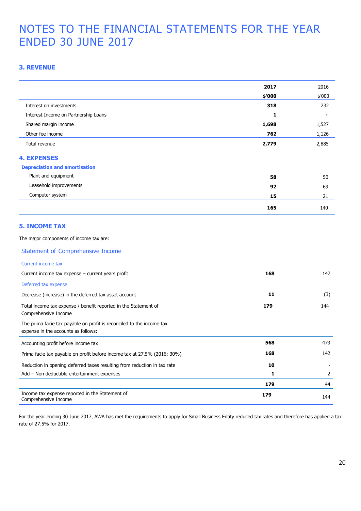# **3. REVENUE**

|                                                                                                              | 2017   | 2016           |
|--------------------------------------------------------------------------------------------------------------|--------|----------------|
|                                                                                                              | \$'000 | \$'000         |
| Interest on investments                                                                                      | 318    | 232            |
| Interest Income on Partnership Loans                                                                         | 1      |                |
| Shared margin income                                                                                         | 1,698  | 1,527          |
| Other fee income                                                                                             | 762    | 1,126          |
| Total revenue                                                                                                | 2,779  | 2,885          |
| <b>4. EXPENSES</b>                                                                                           |        |                |
| <b>Depreciation and amortisation</b>                                                                         |        |                |
| Plant and equipment                                                                                          | 58     | 50             |
| Leasehold improvements                                                                                       | 92     | 69             |
| Computer system                                                                                              | 15     | 21             |
|                                                                                                              | 165    | 140            |
| <b>5. INCOME TAX</b>                                                                                         |        |                |
| The major components of income tax are:                                                                      |        |                |
| <b>Statement of Comprehensive Income</b>                                                                     |        |                |
| Current income tax                                                                                           |        |                |
| Current income tax expense - current years profit                                                            | 168    | 147            |
| Deferred tax expense                                                                                         |        |                |
| Decrease (increase) in the deferred tax asset account                                                        | 11     | (3)            |
| Total income tax expense / benefit reported in the Statement of<br>Comprehensive Income                      | 179    | 144            |
| The prima facie tax payable on profit is reconciled to the income tax<br>expense in the accounts as follows: |        |                |
| Accounting profit before income tax                                                                          | 568    | 473            |
| Prima facie tax payable on profit before income tax at 27.5% (2016: 30%)                                     | 168    | 142            |
| Reduction in opening deferred taxes resulting from reduction in tax rate                                     | 10     |                |
| Add - Non deductible entertainment expenses                                                                  | 1      | $\overline{2}$ |
|                                                                                                              | 179    | 44             |
| Income tax expense reported in the Statement of<br>Comprehensive Income                                      | 179    | 144            |

For the year ending 30 June 2017, AWA has met the requirements to apply for Small Business Entity reduced tax rates and therefore has applied a tax rate of 27.5% for 2017.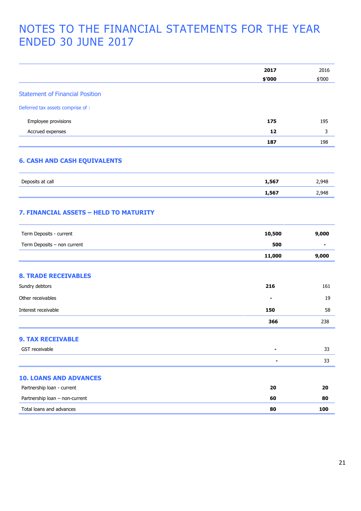| 2017           | 2016   |
|----------------|--------|
| \$'000         | \$'000 |
|                |        |
|                |        |
| 175            | 195    |
| 12             | 3      |
| 187            | 198    |
|                |        |
| 1,567          | 2,948  |
| 1,567          | 2,948  |
|                |        |
| 10,500         | 9,000  |
| 500            |        |
| 11,000         | 9,000  |
|                |        |
| 216            | 161    |
| $\blacksquare$ | 19     |
| 150            | 58     |
| 366            | 238    |
|                |        |
|                | 33     |
|                | 33     |
|                |        |
| 20             | 20     |
| 60             | 80     |
| 80             | 100    |
|                |        |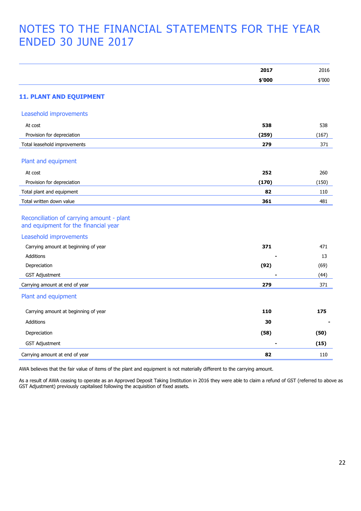|                                                                                   | 2017   | 2016   |
|-----------------------------------------------------------------------------------|--------|--------|
|                                                                                   | \$'000 | \$'000 |
| <b>11. PLANT AND EQUIPMENT</b>                                                    |        |        |
| Leasehold improvements                                                            |        |        |
| At cost                                                                           | 538    | 538    |
| Provision for depreciation                                                        | (259)  | (167)  |
| Total leasehold improvements                                                      | 279    | 371    |
| Plant and equipment                                                               |        |        |
| At cost                                                                           | 252    | 260    |
| Provision for depreciation                                                        | (170)  | (150)  |
| Total plant and equipment                                                         | 82     | 110    |
| Total written down value                                                          | 361    | 481    |
| Reconciliation of carrying amount - plant<br>and equipment for the financial year |        |        |
| Leasehold improvements                                                            |        |        |
| Carrying amount at beginning of year                                              | 371    | 471    |
| <b>Additions</b>                                                                  |        | 13     |
| Depreciation                                                                      | (92)   | (69)   |
| <b>GST Adjustment</b>                                                             |        | (44)   |
| Carrying amount at end of year                                                    | 279    | 371    |
| Plant and equipment                                                               |        |        |
| Carrying amount at beginning of year                                              | 110    | 175    |
| <b>Additions</b>                                                                  | 30     |        |
| Depreciation                                                                      | (58)   | (50)   |
| <b>GST Adjustment</b>                                                             |        | (15)   |
| Carrying amount at end of year                                                    | 82     | 110    |

AWA believes that the fair value of items of the plant and equipment is not materially different to the carrying amount.

As a result of AWA ceasing to operate as an Approved Deposit Taking Institution in 2016 they were able to claim a refund of GST (referred to above as GST Adjustment) previously capitalised following the acquisition of fixed assets.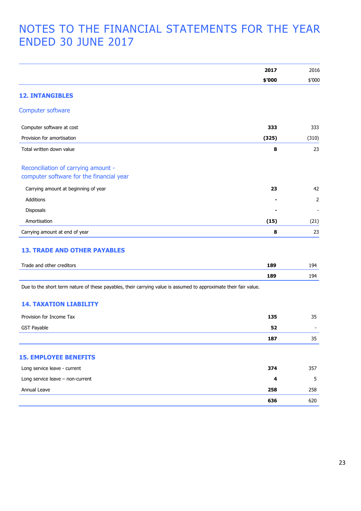|                                                                                 | 2017   | 2016                     |
|---------------------------------------------------------------------------------|--------|--------------------------|
|                                                                                 | \$'000 | \$'000                   |
| <b>12. INTANGIBLES</b>                                                          |        |                          |
| Computer software                                                               |        |                          |
| Computer software at cost                                                       | 333    | 333                      |
| Provision for amortisation                                                      | (325)  | (310)                    |
| Total written down value                                                        | 8      | 23                       |
| Reconciliation of carrying amount -<br>computer software for the financial year |        |                          |
| Carrying amount at beginning of year                                            | 23     | 42                       |
| <b>Additions</b>                                                                |        | $\overline{2}$           |
| Disposals                                                                       |        | $\overline{\phantom{0}}$ |
| Amortisation                                                                    | (15)   | (21)                     |
| Carrying amount at end of year                                                  | 8      | 23                       |
|                                                                                 |        |                          |

# **13. TRADE AND OTHER PAYABLES**

| Trade and other creditors | 189 | 194 |
|---------------------------|-----|-----|
|                           | 189 | 194 |

Due to the short term nature of these payables, their carrying value is assumed to approximate their fair value.

# **14. TAXATION LIABILITY**

| 187                             | 35                       |
|---------------------------------|--------------------------|
| GST Payable<br>52               | $\overline{\phantom{0}}$ |
| 135<br>Provision for Income Tax | 35                       |

### **15. EMPLOYEE BENEFITS**

| Long service leave - current     | 374 | 357 |
|----------------------------------|-----|-----|
| Long service leave - non-current |     |     |
| Annual Leave                     | 258 | 258 |
|                                  | 636 | 620 |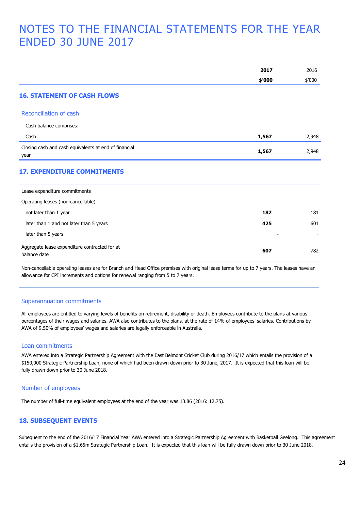|                                                               | 2017   | 2016   |
|---------------------------------------------------------------|--------|--------|
|                                                               | \$'000 | \$′000 |
| <b>16. STATEMENT OF CASH FLOWS</b>                            |        |        |
| Reconciliation of cash                                        |        |        |
| Cash balance comprises:                                       |        |        |
| Cash                                                          | 1,567  | 2,948  |
| Closing cash and cash equivalents at end of financial<br>year | 1,567  | 2,948  |
| <b>17. EXPENDITURE COMMITMENTS</b>                            |        |        |
| Lease expenditure commitments                                 |        |        |
| Operating leases (non-cancellable)                            |        |        |
| not later than 1 year                                         | 182    | 181    |
| later than 1 and not later than 5 years                       | 425    | 601    |
| later than 5 years                                            |        |        |
| Aggregate lease expenditure contracted for at<br>balance date | 607    | 782    |

Non-cancellable operating leases are for Branch and Head Office premises with original lease terms for up to 7 years. The leases have an allowance for CPI increments and options for renewal ranging from 5 to 7 years.

### Superannuation commitments

All employees are entitled to varying levels of benefits on retirement, disability or death. Employees contribute to the plans at various percentages of their wages and salaries. AWA also contributes to the plans, at the rate of 14% of employees' salaries. Contributions by AWA of 9.50% of employees' wages and salaries are legally enforceable in Australia.

#### Loan commitments

AWA entered into a Strategic Partnership Agreement with the East Belmont Cricket Club during 2016/17 which entails the provision of a \$150,000 Strategic Partnership Loan, none of which had been drawn down prior to 30 June, 2017. It is expected that this loan will be fully drawn down prior to 30 June 2018.

### Number of employees

The number of full-time equivalent employees at the end of the year was 13.86 (2016: 12.75).

### **18. SUBSEQUENT EVENTS**

Subequent to the end of the 2016/17 Financial Year AWA entered into a Strategic Partnership Agreement with Basketball Geelong. This agreement entails the provision of a \$1.65m Strategic Partnership Loan. It is expected that this loan will be fully drawn down prior to 30 June 2018.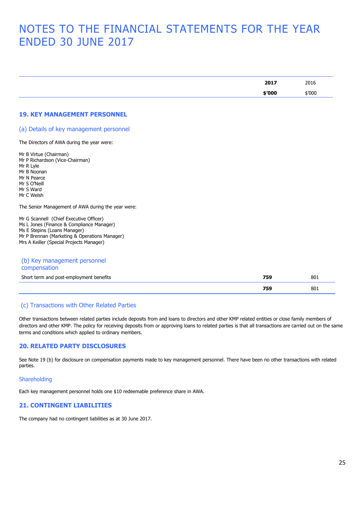|                                                                                                                                                                                                                   | 2017   | 2016            |
|-------------------------------------------------------------------------------------------------------------------------------------------------------------------------------------------------------------------|--------|-----------------|
|                                                                                                                                                                                                                   | \$'000 | \$'000          |
|                                                                                                                                                                                                                   |        |                 |
| <b>19. KEY MANAGEMENT PERSONNEL</b>                                                                                                                                                                               |        |                 |
| (a) Details of key management personnel                                                                                                                                                                           |        |                 |
| The Directors of AWA during the year were:                                                                                                                                                                        |        |                 |
| Mr B Virtue (Chairman)<br>Mr P Richardson (Vice-Chairman)<br>Mr R Lyle<br>Mr B Noonan<br>Mr N Pearce<br>Mr S O'Neill<br>Mr S Ward<br>Mr C Welsh                                                                   |        |                 |
| The Senior Management of AWA during the year were:                                                                                                                                                                |        |                 |
| Mr G Scannell (Chief Executive Officer)<br>Ms L Jones (Finance & Compliance Manager)<br>Ms E Stepins (Loans Manager)<br>Mr P Brennan (Marketing & Operations Manager)<br>Mrs A Keiller (Special Projects Manager) |        |                 |
| (b) Key management personnel<br>compensation                                                                                                                                                                      |        |                 |
| Short term and nost-emnlowment henefits                                                                                                                                                                           | 750    | R <sub>01</sub> |

| Short term and post employment benents | .                     | <u>vvi</u> |
|----------------------------------------|-----------------------|------------|
|                                        | 7 <sub>5</sub><br>:כי | 801        |
|                                        |                       |            |

# (c) Transactions with Other Related Parties

Other transactions between related parties include deposits from and loans to directors and other KMP related entities or close family members of directors and other KMP. The policy for receiving deposits from or approving loans to related parties is that all transactions are carried out on the same terms and conditions which applied to ordinary members.

### **20. RELATED PARTY DISCLOSURES**

See Note 19 (b) for disclosure on compensation payments made to key management personnel. There have been no other transactions with related parties.

#### Shareholding

Each key management personnel holds one \$10 redeemable preference share in AWA.

### **21. CONTINGENT LIABILITIES**

The company had no contingent liabilities as at 30 June 2017.